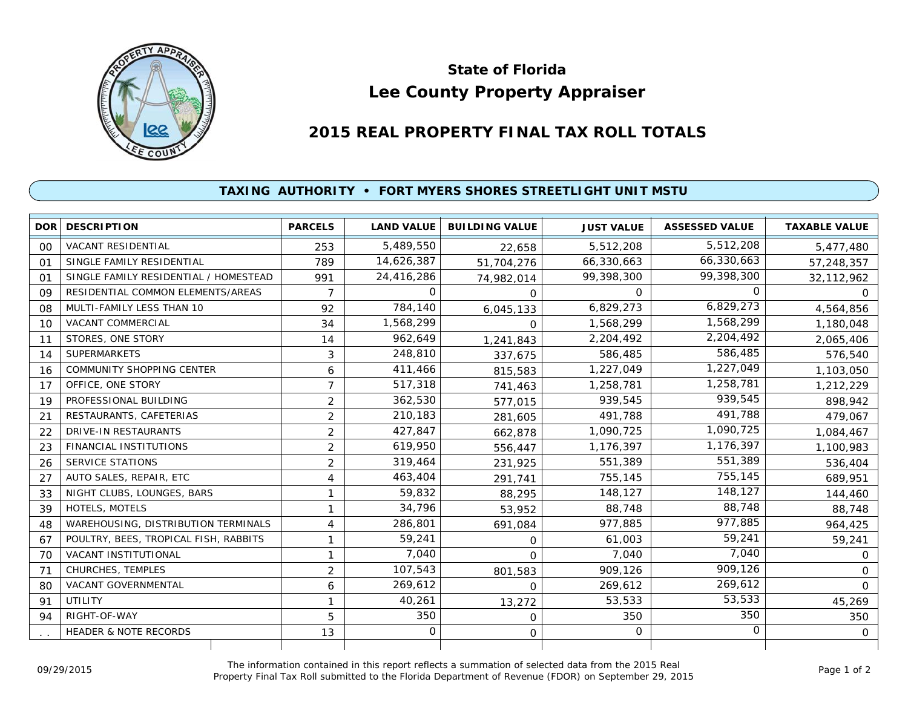

## **Lee County Property Appraiser State of Florida**

## **2015 REAL PROPERTY FINAL TAX ROLL TOTALS**

## **TAXING AUTHORITY • FORT MYERS SHORES STREETLIGHT UNIT MSTU**

| <b>DOR</b> | <b>DESCRIPTION</b>                    | <b>PARCELS</b> | <b>LAND VALUE</b> | <b>BUILDING VALUE</b> | <b>JUST VALUE</b> | <b>ASSESSED VALUE</b> | <b>TAXABLE VALUE</b> |
|------------|---------------------------------------|----------------|-------------------|-----------------------|-------------------|-----------------------|----------------------|
| 00         | <b>VACANT RESIDENTIAL</b>             | 253            | 5,489,550         | 22.658                | 5,512,208         | 5,512,208             | 5,477,480            |
| 01         | SINGLE FAMILY RESIDENTIAL             | 789            | 14,626,387        | 51,704,276            | 66,330,663        | 66,330,663            | 57,248,357           |
| 01         | SINGLE FAMILY RESIDENTIAL / HOMESTEAD | 991            | 24,416,286        | 74,982,014            | 99,398,300        | 99,398,300            | 32, 112, 962         |
| 09         | RESIDENTIAL COMMON ELEMENTS/AREAS     | $\overline{7}$ | $\Omega$          | $\Omega$              | $\Omega$          | $\Omega$              | $\Omega$             |
| 08         | MULTI-FAMILY LESS THAN 10             | 92             | 784,140           | 6,045,133             | 6,829,273         | 6,829,273             | 4,564,856            |
| 10         | <b>VACANT COMMERCIAL</b>              | 34             | 1,568,299         | $\Omega$              | 1,568,299         | 1,568,299             | 1,180,048            |
| 11         | STORES, ONE STORY                     | 14             | 962,649           | 1,241,843             | 2,204,492         | 2,204,492             | 2,065,406            |
| 14         | <b>SUPERMARKETS</b>                   | 3              | 248,810           | 337,675               | 586,485           | 586,485               | 576,540              |
| 16         | <b>COMMUNITY SHOPPING CENTER</b>      | 6              | 411,466           | 815,583               | 1,227,049         | 1,227,049             | 1,103,050            |
| 17         | OFFICE, ONE STORY                     | $\overline{7}$ | 517,318           | 741,463               | 1,258,781         | 1,258,781             | 1,212,229            |
| 19         | PROFESSIONAL BUILDING                 | $\overline{2}$ | 362,530           | 577,015               | 939.545           | 939,545               | 898,942              |
| 21         | RESTAURANTS, CAFETERIAS               | $\overline{2}$ | 210,183           | 281,605               | 491.788           | 491,788               | 479,067              |
| 22         | DRIVE-IN RESTAURANTS                  | $\overline{2}$ | 427,847           | 662,878               | 1,090,725         | 1,090,725             | 1,084,467            |
| 23         | <b>FINANCIAL INSTITUTIONS</b>         | $\overline{2}$ | 619,950           | 556,447               | 1,176,397         | 1,176,397             | 1,100,983            |
| 26         | <b>SERVICE STATIONS</b>               | $\overline{2}$ | 319,464           | 231,925               | 551,389           | 551,389               | 536,404              |
| 27         | AUTO SALES, REPAIR, ETC               | 4              | 463,404           | 291,741               | 755,145           | 755,145               | 689,951              |
| 33         | NIGHT CLUBS, LOUNGES, BARS            | 1              | 59,832            | 88,295                | 148,127           | 148,127               | 144,460              |
| 39         | HOTELS, MOTELS                        | 1              | 34,796            | 53,952                | 88,748            | 88,748                | 88,748               |
| 48         | WAREHOUSING, DISTRIBUTION TERMINALS   | 4              | 286,801           | 691,084               | 977,885           | 977,885               | 964,425              |
| 67         | POULTRY, BEES, TROPICAL FISH, RABBITS | 1              | 59,241            | 0                     | 61,003            | 59,241                | 59,241               |
| 70         | VACANT INSTITUTIONAL                  | 1              | 7,040             | $\Omega$              | 7,040             | 7.040                 | $\mathbf{O}$         |
| 71         | CHURCHES, TEMPLES                     | $\overline{2}$ | 107,543           | 801,583               | 909,126           | 909,126               | $\Omega$             |
| 80         | <b>VACANT GOVERNMENTAL</b>            | 6              | 269,612           | $\Omega$              | 269,612           | 269,612               | $\Omega$             |
| 91         | UTILITY                               | 1              | 40,261            | 13,272                | 53,533            | 53,533                | 45,269               |
| 94         | RIGHT-OF-WAY                          | 5              | 350               | $\mathbf 0$           | 350               | 350                   | 350                  |
|            | <b>HEADER &amp; NOTE RECORDS</b>      | 13             | 0                 | 0                     | $\Omega$          | 0                     | $\mathbf{O}$         |
|            |                                       |                |                   |                       |                   |                       |                      |

The information contained in this report reflects a summation of selected data from the 2015 Real Ine information contained in this report reflects a summation of selected data from the 2015 Real<br>Property Final Tax Roll submitted to the Florida Department of Revenue (FDOR) on September 29, 2015